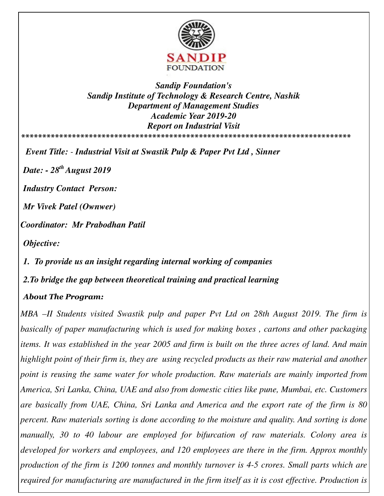

*Sandip Foundation's Sandip Institute of Technology & Research Centre, Nashik Department of Management Studies Academic Year 2019-20 Report on Industrial Visit*  **\*\*\*\*\*\*\*\*\*\*\*\*\*\*\*\*\*\*\*\*\*\*\*\*\*\*\*\*\*\*\*\*\*\*\*\*\*\*\*\*\*\*\*\*\*\*\*\*\*\*\*\*\*\*\*\*\*\*\*\*\*\*\*\*\*\*\*\*\*\*\*\*\*\*\*\*\*\*** 

*Event Title: - Industrial Visit at Swastik Pulp & Paper Pvt Ltd , Sinner* 

*Date: - 28th August 2019* 

*Industry Contact Person:* 

*Mr Vivek Patel (Ownwer)* 

*Coordinator: Mr Prabodhan Patil* 

*Objective:* 

*1. To provide us an insight regarding internal working of companies*

*2.To bridge the gap between theoretical training and practical learning*

## *About The Program:*

*MBA –II Students visited Swastik pulp and paper Pvt Ltd on 28th August 2019. The firm is basically of paper manufacturing which is used for making boxes , cartons and other packaging items. It was established in the year 2005 and firm is built on the three acres of land. And main highlight point of their firm is, they are using recycled products as their raw material and another point is reusing the same water for whole production. Raw materials are mainly imported from America, Sri Lanka, China, UAE and also from domestic cities like pune, Mumbai, etc. Customers are basically from UAE, China, Sri Lanka and America and the export rate of the firm is 80 percent. Raw materials sorting is done according to the moisture and quality. And sorting is done manually, 30 to 40 labour are employed for bifurcation of raw materials. Colony area is developed for workers and employees, and 120 employees are there in the firm. Approx monthly production of the firm is 1200 tonnes and monthly turnover is 4-5 crores. Small parts which are required for manufacturing are manufactured in the firm itself as it is cost effective. Production is*